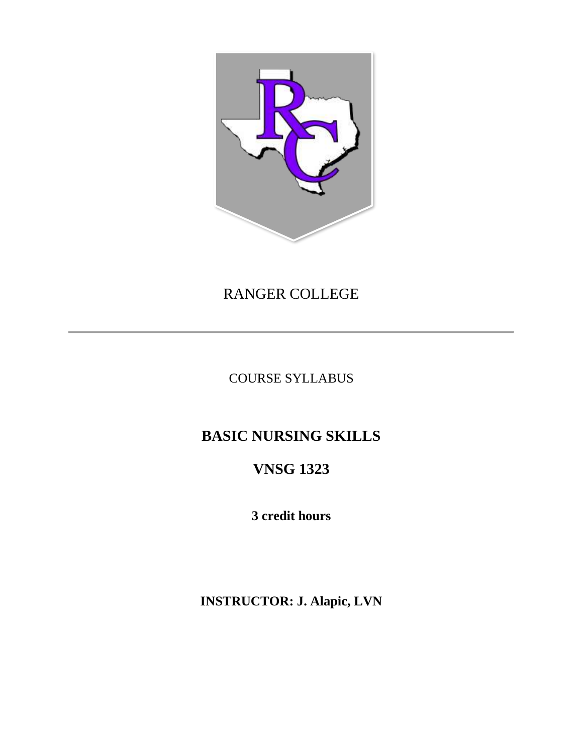

## RANGER COLLEGE

COURSE SYLLABUS

# **BASIC NURSING SKILLS**

# **VNSG 1323**

**3 credit hours**

**INSTRUCTOR: J. Alapic, LVN**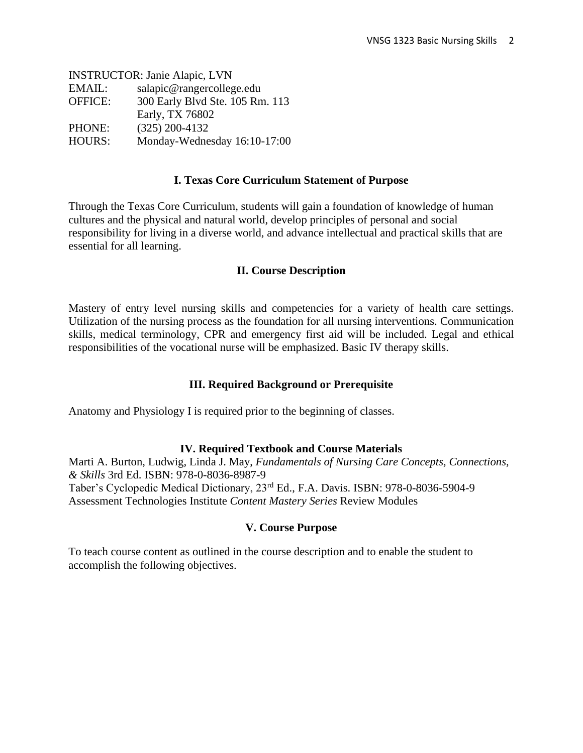INSTRUCTOR: Janie Alapic, LVN EMAIL: salapic@rangercollege.edu OFFICE: 300 Early Blvd Ste. 105 Rm. 113 Early, TX 76802 PHONE: (325) 200-4132 HOURS: Monday-Wednesday 16:10-17:00

#### **I. Texas Core Curriculum Statement of Purpose**

Through the Texas Core Curriculum, students will gain a foundation of knowledge of human cultures and the physical and natural world, develop principles of personal and social responsibility for living in a diverse world, and advance intellectual and practical skills that are essential for all learning.

#### **II. Course Description**

Mastery of entry level nursing skills and competencies for a variety of health care settings. Utilization of the nursing process as the foundation for all nursing interventions. Communication skills, medical terminology, CPR and emergency first aid will be included. Legal and ethical responsibilities of the vocational nurse will be emphasized. Basic IV therapy skills.

#### **III. Required Background or Prerequisite**

Anatomy and Physiology I is required prior to the beginning of classes.

#### **IV. Required Textbook and Course Materials**

Marti A. Burton, Ludwig, Linda J. May, *Fundamentals of Nursing Care Concepts, Connections, & Skills* 3rd Ed. ISBN: 978-0-8036-8987-9 Taber's Cyclopedic Medical Dictionary, 23rd Ed., F.A. Davis. ISBN: 978-0-8036-5904-9 Assessment Technologies Institute *Content Mastery Series* Review Modules

#### **V. Course Purpose**

To teach course content as outlined in the course description and to enable the student to accomplish the following objectives.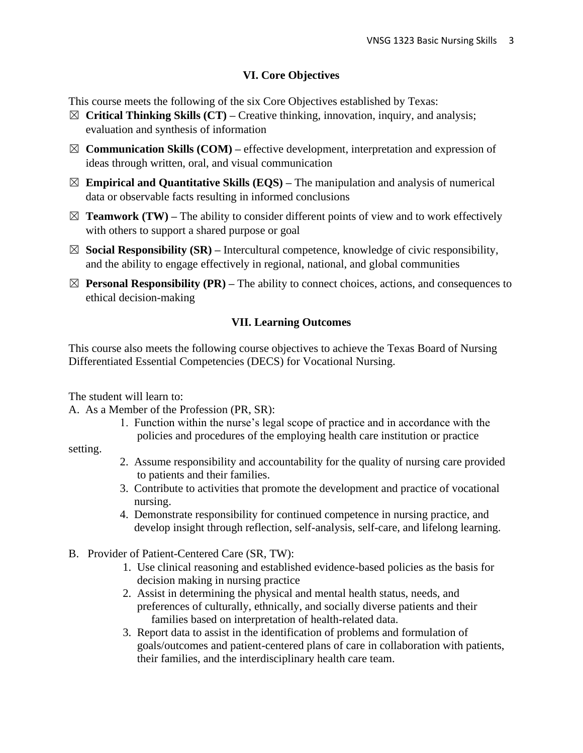## **VI. Core Objectives**

This course meets the following of the six Core Objectives established by Texas:

- ☒ **Critical Thinking Skills (CT) –** Creative thinking, innovation, inquiry, and analysis; evaluation and synthesis of information
- $\boxtimes$  **Communication Skills (COM)** effective development, interpretation and expression of ideas through written, oral, and visual communication
- $\boxtimes$  **Empirical and Quantitative Skills (EQS)** The manipulation and analysis of numerical data or observable facts resulting in informed conclusions
- $\boxtimes$  **Teamwork (TW)** The ability to consider different points of view and to work effectively with others to support a shared purpose or goal
- $\boxtimes$  **Social Responsibility (SR)** Intercultural competence, knowledge of civic responsibility, and the ability to engage effectively in regional, national, and global communities
- $\boxtimes$  **Personal Responsibility (PR)** The ability to connect choices, actions, and consequences to ethical decision-making

## **VII. Learning Outcomes**

This course also meets the following course objectives to achieve the Texas Board of Nursing Differentiated Essential Competencies (DECS) for Vocational Nursing.

The student will learn to:

A. As a Member of the Profession (PR, SR):

 1. Function within the nurse's legal scope of practice and in accordance with the policies and procedures of the employing health care institution or practice

setting.

- 2. Assume responsibility and accountability for the quality of nursing care provided to patients and their families.
- 3. Contribute to activities that promote the development and practice of vocational nursing.
- 4. Demonstrate responsibility for continued competence in nursing practice, and develop insight through reflection, self-analysis, self-care, and lifelong learning.
- B. Provider of Patient-Centered Care (SR, TW):
	- 1. Use clinical reasoning and established evidence-based policies as the basis for decision making in nursing practice
	- 2. Assist in determining the physical and mental health status, needs, and preferences of culturally, ethnically, and socially diverse patients and their families based on interpretation of health-related data.
	- 3. Report data to assist in the identification of problems and formulation of goals/outcomes and patient-centered plans of care in collaboration with patients, their families, and the interdisciplinary health care team.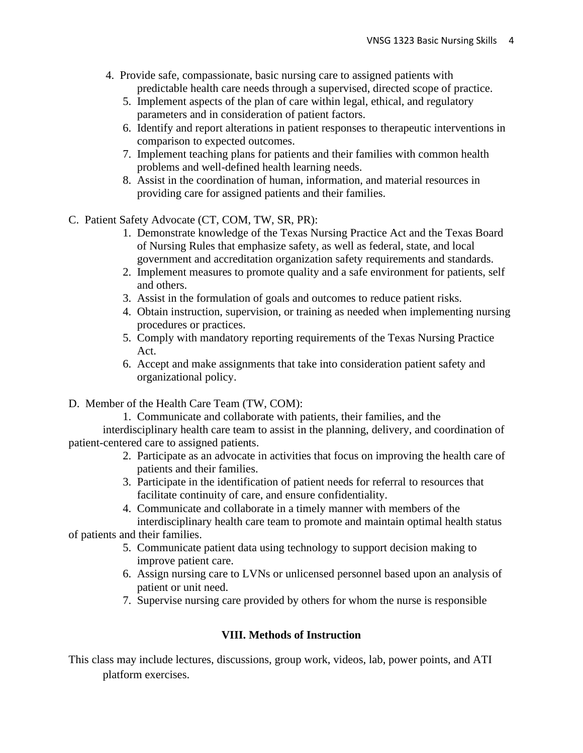- 4. Provide safe, compassionate, basic nursing care to assigned patients with predictable health care needs through a supervised, directed scope of practice.
	- 5. Implement aspects of the plan of care within legal, ethical, and regulatory parameters and in consideration of patient factors.
	- 6. Identify and report alterations in patient responses to therapeutic interventions in comparison to expected outcomes.
	- 7. Implement teaching plans for patients and their families with common health problems and well-defined health learning needs.
	- 8. Assist in the coordination of human, information, and material resources in providing care for assigned patients and their families.
- C. Patient Safety Advocate (CT, COM, TW, SR, PR):
	- 1. Demonstrate knowledge of the Texas Nursing Practice Act and the Texas Board of Nursing Rules that emphasize safety, as well as federal, state, and local government and accreditation organization safety requirements and standards.
	- 2. Implement measures to promote quality and a safe environment for patients, self and others.
	- 3. Assist in the formulation of goals and outcomes to reduce patient risks.
	- 4. Obtain instruction, supervision, or training as needed when implementing nursing procedures or practices.
	- 5. Comply with mandatory reporting requirements of the Texas Nursing Practice Act.
	- 6. Accept and make assignments that take into consideration patient safety and organizational policy.
- D. Member of the Health Care Team (TW, COM):

 1. Communicate and collaborate with patients, their families, and the interdisciplinary health care team to assist in the planning, delivery, and coordination of patient-centered care to assigned patients.

- 2. Participate as an advocate in activities that focus on improving the health care of patients and their families.
- 3. Participate in the identification of patient needs for referral to resources that facilitate continuity of care, and ensure confidentiality.
- 4. Communicate and collaborate in a timely manner with members of the interdisciplinary health care team to promote and maintain optimal health status

of patients and their families.

- 5. Communicate patient data using technology to support decision making to improve patient care.
- 6. Assign nursing care to LVNs or unlicensed personnel based upon an analysis of patient or unit need.
- 7. Supervise nursing care provided by others for whom the nurse is responsible

## **VIII. Methods of Instruction**

This class may include lectures, discussions, group work, videos, lab, power points, and ATI platform exercises.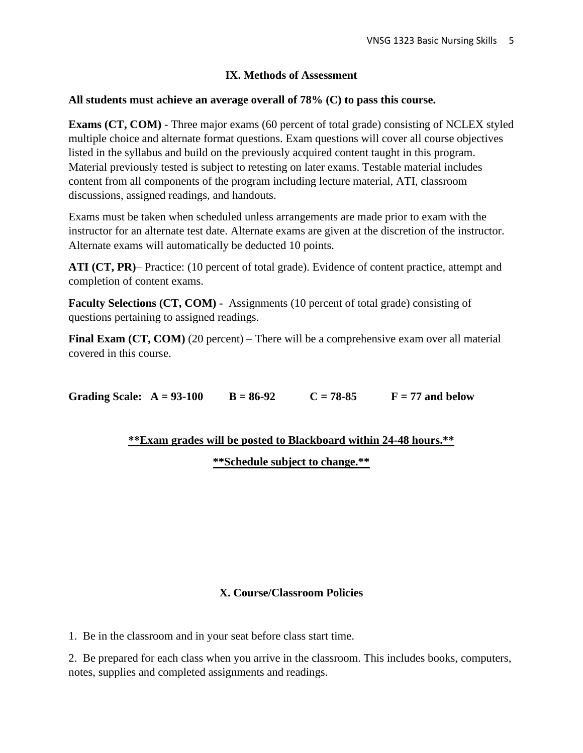## **IX. Methods of Assessment**

### **All students must achieve an average overall of 78% (C) to pass this course.**

**Exams (CT, COM)** - Three major exams (60 percent of total grade) consisting of NCLEX styled multiple choice and alternate format questions. Exam questions will cover all course objectives listed in the syllabus and build on the previously acquired content taught in this program. Material previously tested is subject to retesting on later exams. Testable material includes content from all components of the program including lecture material, ATI, classroom discussions, assigned readings, and handouts.

Exams must be taken when scheduled unless arrangements are made prior to exam with the instructor for an alternate test date. Alternate exams are given at the discretion of the instructor. Alternate exams will automatically be deducted 10 points.

**ATI (CT, PR)**– Practice: (10 percent of total grade). Evidence of content practice, attempt and completion of content exams.

**Faculty Selections (CT, COM) -** Assignments (10 percent of total grade) consisting of questions pertaining to assigned readings.

**Final Exam (CT, COM)** (20 percent) – There will be a comprehensive exam over all material covered in this course.

Grading Scale:  $A = 93-100$   $B = 86-92$   $C = 78-85$   $F = 77$  and below

## **\*\*Exam grades will be posted to Blackboard within 24-48 hours.\*\***

**\*\*Schedule subject to change.\*\***

## **X. Course/Classroom Policies**

1. Be in the classroom and in your seat before class start time.

2. Be prepared for each class when you arrive in the classroom. This includes books, computers, notes, supplies and completed assignments and readings.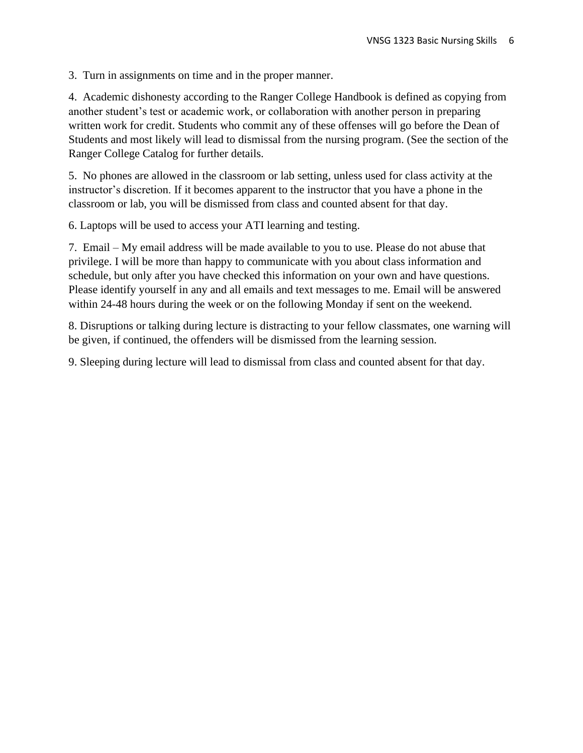3. Turn in assignments on time and in the proper manner.

4. Academic dishonesty according to the Ranger College Handbook is defined as copying from another student's test or academic work, or collaboration with another person in preparing written work for credit. Students who commit any of these offenses will go before the Dean of Students and most likely will lead to dismissal from the nursing program. (See the section of the Ranger College Catalog for further details.

5. No phones are allowed in the classroom or lab setting, unless used for class activity at the instructor's discretion. If it becomes apparent to the instructor that you have a phone in the classroom or lab, you will be dismissed from class and counted absent for that day.

6. Laptops will be used to access your ATI learning and testing.

7. Email – My email address will be made available to you to use. Please do not abuse that privilege. I will be more than happy to communicate with you about class information and schedule, but only after you have checked this information on your own and have questions. Please identify yourself in any and all emails and text messages to me. Email will be answered within 24-48 hours during the week or on the following Monday if sent on the weekend.

8. Disruptions or talking during lecture is distracting to your fellow classmates, one warning will be given, if continued, the offenders will be dismissed from the learning session.

9. Sleeping during lecture will lead to dismissal from class and counted absent for that day.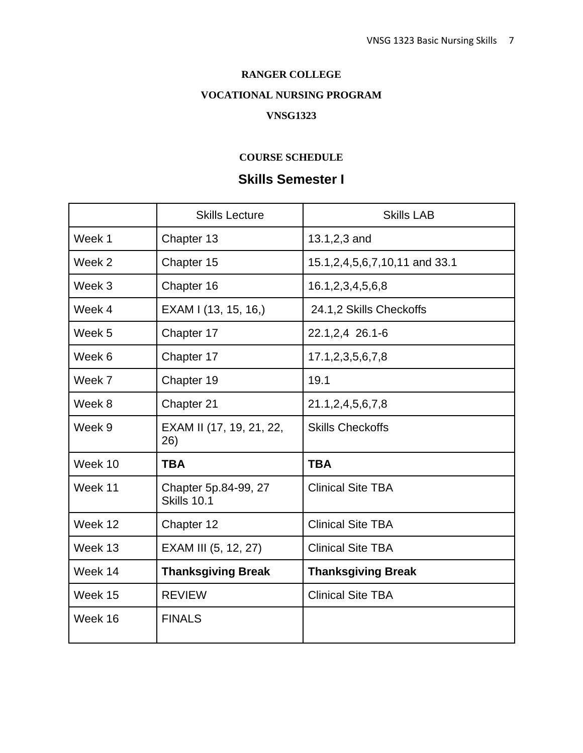#### **RANGER COLLEGE**

## **VOCATIONAL NURSING PROGRAM**

#### **VNSG1323**

#### **COURSE SCHEDULE**

## **Skills Semester I**

|         | <b>Skills Lecture</b>                      | <b>Skills LAB</b>                    |
|---------|--------------------------------------------|--------------------------------------|
| Week 1  | Chapter 13                                 | 13.1,2,3 and                         |
| Week 2  | Chapter 15                                 | 15.1, 2, 4, 5, 6, 7, 10, 11 and 33.1 |
| Week 3  | Chapter 16                                 | 16.1, 2, 3, 4, 5, 6, 8               |
| Week 4  | EXAM I (13, 15, 16,)                       | 24.1,2 Skills Checkoffs              |
| Week 5  | Chapter 17                                 | 22.1,2,4 26.1-6                      |
| Week 6  | Chapter 17                                 | 17.1,2,3,5,6,7,8                     |
| Week 7  | Chapter 19                                 | 19.1                                 |
| Week 8  | Chapter 21                                 | 21.1, 2, 4, 5, 6, 7, 8               |
| Week 9  | EXAM II (17, 19, 21, 22,<br>26)            | <b>Skills Checkoffs</b>              |
| Week 10 | <b>TBA</b>                                 | <b>TBA</b>                           |
| Week 11 | Chapter 5p.84-99, 27<br><b>Skills 10.1</b> | <b>Clinical Site TBA</b>             |
| Week 12 | Chapter 12                                 | <b>Clinical Site TBA</b>             |
| Week 13 | EXAM III (5, 12, 27)                       | <b>Clinical Site TBA</b>             |
| Week 14 | <b>Thanksgiving Break</b>                  | <b>Thanksgiving Break</b>            |
| Week 15 | <b>REVIEW</b>                              | <b>Clinical Site TBA</b>             |
| Week 16 | <b>FINALS</b>                              |                                      |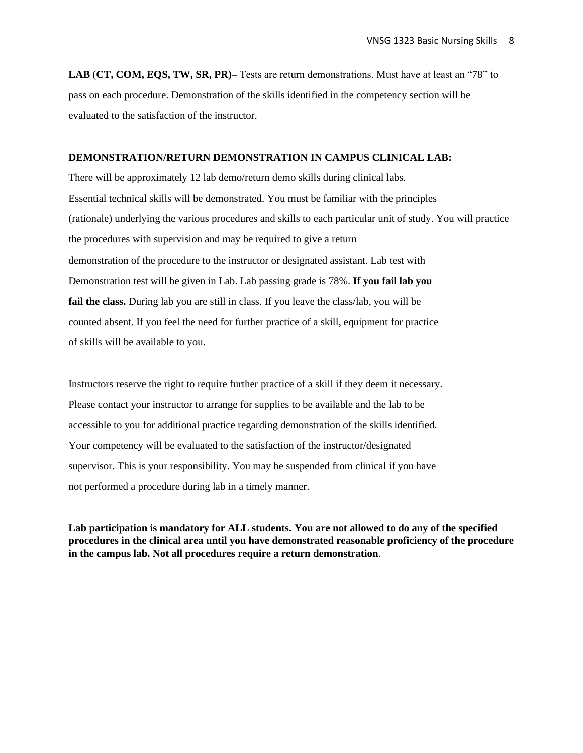**LAB** (**CT, COM, EQS, TW, SR, PR)–** Tests are return demonstrations. Must have at least an "78" to pass on each procedure. Demonstration of the skills identified in the competency section will be evaluated to the satisfaction of the instructor.

#### **DEMONSTRATION/RETURN DEMONSTRATION IN CAMPUS CLINICAL LAB:**

There will be approximately 12 lab demo/return demo skills during clinical labs. Essential technical skills will be demonstrated. You must be familiar with the principles (rationale) underlying the various procedures and skills to each particular unit of study. You will practice the procedures with supervision and may be required to give a return demonstration of the procedure to the instructor or designated assistant. Lab test with Demonstration test will be given in Lab. Lab passing grade is 78%. **If you fail lab you fail the class.** During lab you are still in class. If you leave the class/lab, you will be counted absent. If you feel the need for further practice of a skill, equipment for practice of skills will be available to you.

Instructors reserve the right to require further practice of a skill if they deem it necessary. Please contact your instructor to arrange for supplies to be available and the lab to be accessible to you for additional practice regarding demonstration of the skills identified. Your competency will be evaluated to the satisfaction of the instructor/designated supervisor. This is your responsibility. You may be suspended from clinical if you have not performed a procedure during lab in a timely manner.

**Lab participation is mandatory for ALL students. You are not allowed to do any of the specified procedures in the clinical area until you have demonstrated reasonable proficiency of the procedure in the campus lab. Not all procedures require a return demonstration**.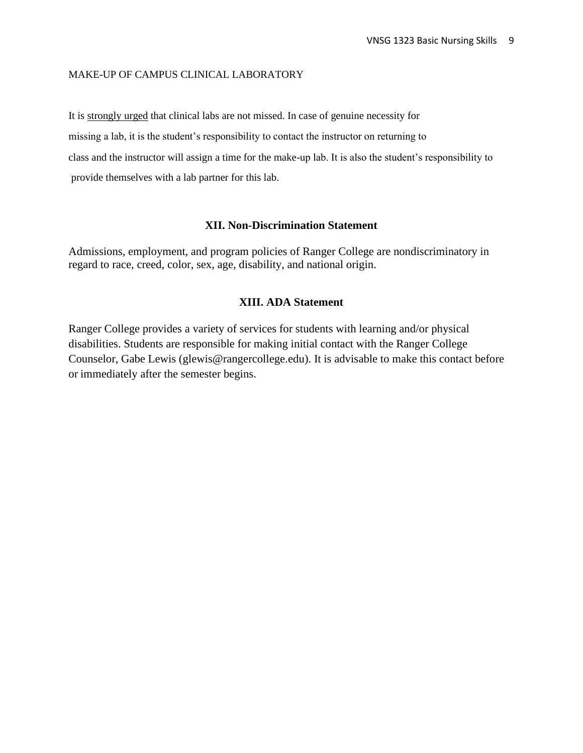#### MAKE-UP OF CAMPUS CLINICAL LABORATORY

It is strongly urged that clinical labs are not missed. In case of genuine necessity for missing a lab, it is the student's responsibility to contact the instructor on returning to class and the instructor will assign a time for the make-up lab. It is also the student's responsibility to provide themselves with a lab partner for this lab.

#### **XII. Non-Discrimination Statement**

Admissions, employment, and program policies of Ranger College are nondiscriminatory in regard to race, creed, color, sex, age, disability, and national origin.

#### **XIII. ADA Statement**

Ranger College provides a variety of services for students with learning and/or physical disabilities. Students are responsible for making initial contact with the Ranger College Counselor, Gabe Lewis (glewis@rangercollege.edu). It is advisable to make this contact before or immediately after the semester begins.